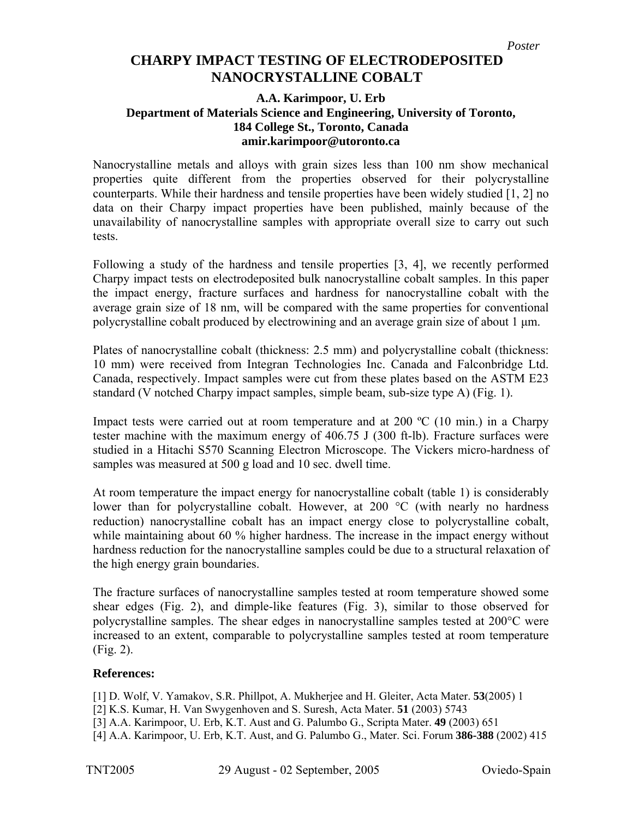## **NANOCRYSTALLINE COBALT CHARPY IMPACT TESTING OF ELECTRODEPOSITED**

## **A.A. Karimpoor, U. Erb Department of Materials Science and Engineering, University of Toronto, 184 College St., Toronto, Canada amir.karimpoor@utoronto.ca**

Nanocrystalline metals and alloys with grain sizes less than 100 nm show mechanical properties quite different from the properties observed for their polycrystalline counterparts. While their hardness and tensile properties have been widely studied [1, 2] no data on their Charpy impact properties have been published, mainly because of the unavailability of nanocrystalline samples with appropriate overall size to carry out such tests.

Following a study of the hardness and tensile properties [3, 4], we recently performed Charpy impact tests on electrodeposited bulk nanocrystalline cobalt samples. In this paper the impact energy, fracture surfaces and hardness for nanocrystalline cobalt with the average grain size of 18 nm, will be compared with the same properties for conventional polycrystalline cobalt produced by electrowining and an average grain size of about 1 μm.

Plates of nanocrystalline cobalt (thickness: 2.5 mm) and polycrystalline cobalt (thickness: 10 mm) were received from Integran Technologies Inc. Canada and Falconbridge Ltd. Canada, respectively. Impact samples were cut from these plates based on the ASTM E23 standard (V notched Charpy impact samples, simple beam, sub-size type A) (Fig. 1).

Impact tests were carried out at room temperature and at 200  $^{\circ}C$  (10 min.) in a Charpy tester machine with the maximum energy of 406.75 J (300 ft-lb). Fracture surfaces were studied in a Hitachi S570 Scanning Electron Microscope. The Vickers micro-hardness of samples was measured at 500 g load and 10 sec. dwell time.

At room temperature the impact energy for nanocrystalline cobalt (table 1) is considerably lower than for polycrystalline cobalt. However, at 200 °C (with nearly no hardness reduction) nanocrystalline cobalt has an impact energy close to polycrystalline cobalt, while maintaining about 60 % higher hardness. The increase in the impact energy without hardness reduction for the nanocrystalline samples could be due to a structural relaxation of the high energy grain boundaries.

The fracture surfaces of nanocrystalline samples tested at room temperature showed some shear edges (Fig. 2), and dimple-like features (Fig. 3), similar to those observed for polycrystalline samples. The shear edges in nanocrystalline samples tested at 200°C were increased to an extent, comparable to polycrystalline samples tested at room temperature (Fig. 2).

## **References:**

[1] D. Wolf, V. Yamakov, S.R. Phillpot, A. Mukherjee and H. Gleiter, Acta Mater. **53**(2005) 1

- [2] K.S. Kumar, H. Van Swygenhoven and S. Suresh, Acta Mater. **51** (2003) 5743
- [3] A.A. Karimpoor, U. Erb, K.T. Aust and G. Palumbo G., Scripta Mater. **49** (2003) 651
- [4] A.A. Karimpoor, U. Erb, K.T. Aust, and G. Palumbo G., Mater. Sci. Forum **386-388** (2002) 415